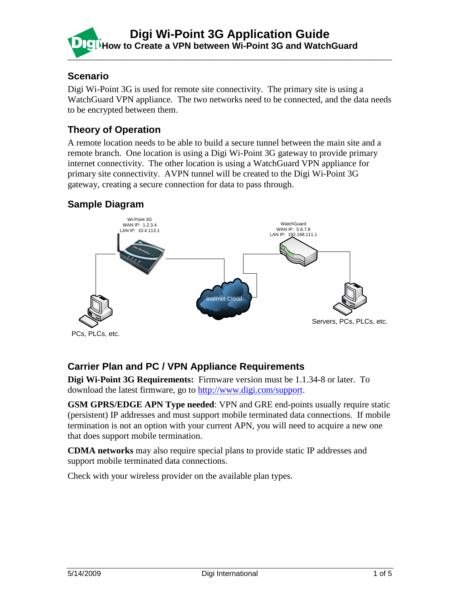

### **Scenario**

Digi Wi-Point 3G is used for remote site connectivity. The primary site is using a WatchGuard VPN appliance. The two networks need to be connected, and the data needs to be encrypted between them.

## **Theory of Operation**

A remote location needs to be able to build a secure tunnel between the main site and a remote branch. One location is using a Digi Wi-Point 3G gateway to provide primary internet connectivity. The other location is using a WatchGuard VPN appliance for primary site connectivity. AVPN tunnel will be created to the Digi Wi-Point 3G gateway, creating a secure connection for data to pass through.

## **Sample Diagram**



## **Carrier Plan and PC / VPN Appliance Requirements**

**Digi Wi-Point 3G Requirements:** Firmware version must be 1.1.34-8 or later. To download the latest firmware, go to [http://www.digi.com/support.](http://www.digi.com/support)

**GSM GPRS/EDGE APN Type needed**: VPN and GRE end-points usually require static (persistent) IP addresses and must support mobile terminated data connections. If mobile termination is not an option with your current APN, you will need to acquire a new one that does support mobile termination.

**CDMA networks** may also require special plans to provide static IP addresses and support mobile terminated data connections.

Check with your wireless provider on the available plan types.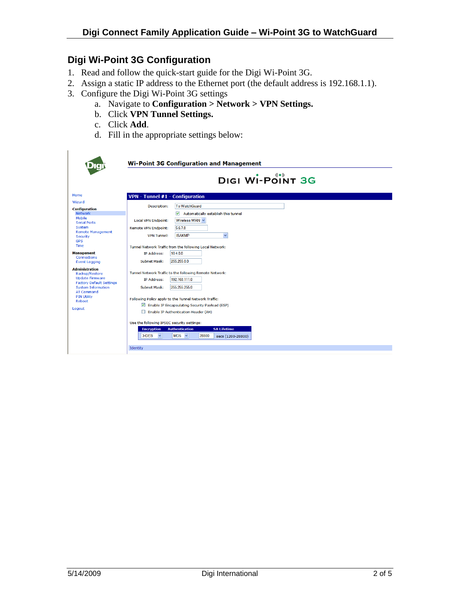# **Digi Wi-Point 3G Configuration**

- 1. Read and follow the quick-start guide for the Digi Wi-Point 3G.
- 2. Assign a static IP address to the Ethernet port (the default address is 192.168.1.1).
- 3. Configure the Digi Wi-Point 3G settings
	- a. Navigate to **Configuration > Network > VPN Settings.**
	- b. Click **VPN Tunnel Settings.**
	- c. Click **Add**.
	- d. Fill in the appropriate settings below:

|                                                                      | <b>Wi-Point 3G Configuration and Management</b>                                                                                                                                                                                            |
|----------------------------------------------------------------------|--------------------------------------------------------------------------------------------------------------------------------------------------------------------------------------------------------------------------------------------|
|                                                                      | DIGI WI-POINT 3G                                                                                                                                                                                                                           |
| Home                                                                 | <b>VPN</b> - Tunnel $#1$ - Configuration                                                                                                                                                                                                   |
| Wizard                                                               |                                                                                                                                                                                                                                            |
| <b>Configuration</b>                                                 | <b>To WatchGuard</b><br><b>Description:</b>                                                                                                                                                                                                |
| <b>Network</b><br>Mobile                                             | ☑<br>Automatically establish this tunnel                                                                                                                                                                                                   |
| <b>Serial Ports</b>                                                  | Wireless WAN<br><b>Local VPN Endpoint:</b>                                                                                                                                                                                                 |
| System                                                               | 5.6.7.8<br><b>Remote VPN Endpoint:</b>                                                                                                                                                                                                     |
| <b>Remote Management</b><br><b>Security</b><br><b>GPS</b>            | $\checkmark$<br><b>ISAKMP</b><br><b>VPN Tunnel:</b>                                                                                                                                                                                        |
| Time                                                                 | Tunnel Network Traffic from the following Local Network:                                                                                                                                                                                   |
| <b>Management</b>                                                    | <b>IP Address:</b><br>104.00                                                                                                                                                                                                               |
| <b>Event Logging</b>                                                 | 255,255,0.0<br>Subnet Mask:                                                                                                                                                                                                                |
| <b>Administration</b>                                                |                                                                                                                                                                                                                                            |
| <b>Update Firmware</b>                                               |                                                                                                                                                                                                                                            |
| <b>Factory Default Settings</b>                                      |                                                                                                                                                                                                                                            |
| <b>AT Command</b>                                                    |                                                                                                                                                                                                                                            |
| <b>PIN Utility</b>                                                   |                                                                                                                                                                                                                                            |
|                                                                      |                                                                                                                                                                                                                                            |
| Logout                                                               | Enable IP Authentication Header (AH)                                                                                                                                                                                                       |
|                                                                      | Use the following IPSEC security settings:                                                                                                                                                                                                 |
|                                                                      | <b>SA Lifetime</b><br><b>Encryption</b><br><b>Authentication</b><br>28800<br>3-DES<br>$\checkmark$<br>$MD5 \sim$<br>secs (1200-28800)                                                                                                      |
|                                                                      | Identity                                                                                                                                                                                                                                   |
| Connections<br>Backup/Restore<br><b>System Information</b><br>Reboot | Tunnel Network Traffic to the following Remote Network:<br>192.168.111.0<br><b>IP Address:</b><br>255.255.255.0<br>Subnet Mask:<br>Following Policy apply to the Tunnel Network Traffic:<br>Enable IP Encapsulating Security Payload (ESP) |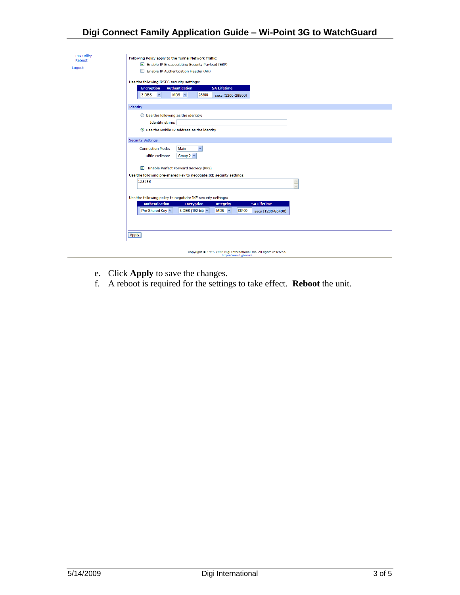### **Digi Connect Family Application Guide – Wi-Point 3G to WatchGuard**

| <b>PIN Utility</b> |                                                                                                         |
|--------------------|---------------------------------------------------------------------------------------------------------|
| Reboot             | Following Policy apply to the Tunnel Network Traffic:<br>Enable IP Encapsulating Security Payload (ESP) |
| Logout             | Enable IP Authentication Header (AH)                                                                    |
|                    |                                                                                                         |
|                    | Use the following IPSEC security settings:                                                              |
|                    | <b>Encryption</b><br><b>Authentication</b><br><b>SA Lifetime</b>                                        |
|                    | $MD5 \sim$<br>28800<br>$3$ -DES $\vee$<br>secs (1200-28800)                                             |
|                    |                                                                                                         |
|                    | Identity                                                                                                |
|                    | $\bigcirc$ Use the following as the identity:                                                           |
|                    | <b>Identity string:</b>                                                                                 |
|                    | <b>O</b> Use the Mobile IP address as the identity                                                      |
|                    |                                                                                                         |
|                    | <b>Security Settings</b>                                                                                |
|                    | Main<br>$\checkmark$<br><b>Connection Mode:</b>                                                         |
|                    | Diffie-Hellman:<br>Group 2 $\vee$                                                                       |
|                    |                                                                                                         |
|                    | Enable Perfect Forward Secrecy (PFS)                                                                    |
|                    | Use the following pre-shared key to negotiate IKE security settings:                                    |
|                    | 123456<br>$\triangle$                                                                                   |
|                    | Ī.                                                                                                      |
|                    | Use the following policy to negotiate IKE security settings:                                            |
|                    | <b>Authentication</b><br><b>SA Lifetime</b><br><b>Encryption</b><br><b>Integrity</b>                    |
|                    | Pre-Shared Key<br>3-DES (192-bit) v<br>$MD5 \sim$<br>86400<br>secs (1200-86400)                         |
|                    |                                                                                                         |
|                    |                                                                                                         |
|                    |                                                                                                         |
|                    | Apply                                                                                                   |
|                    |                                                                                                         |
|                    |                                                                                                         |
|                    | Copyright @ 1996-2008 Digi International Inc. All rights reserved.<br>http://www.digi.com/              |

- e. Click **Apply** to save the changes.
- f. A reboot is required for the settings to take effect. **Reboot** the unit.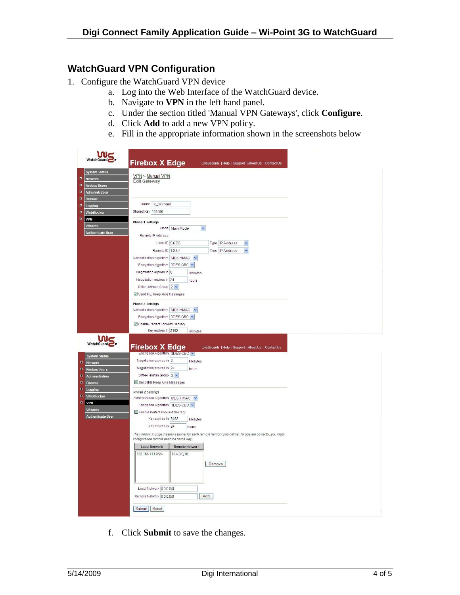#### **WatchGuard VPN Configuration**

- 1. Configure the WatchGuard VPN device
	- a. Log into the Web Interface of the WatchGuard device.
	- b. Navigate to **VPN** in the left hand panel.
	- c. Under the section titled 'Manual VPN Gateways', click **Configure**.
	- d. Click **Add** to add a new VPN policy.
	- e. Fill in the appropriate information shown in the screenshots below

| WatchGuard                                                                                                                                                                                                                                                         | <b>Firebox X Edge</b><br>LiveSecurity   Help   Support   About Us   Contact Us                                                                                                                                                                                                                                                                                                       |
|--------------------------------------------------------------------------------------------------------------------------------------------------------------------------------------------------------------------------------------------------------------------|--------------------------------------------------------------------------------------------------------------------------------------------------------------------------------------------------------------------------------------------------------------------------------------------------------------------------------------------------------------------------------------|
| <b>System Status</b><br>貝<br><b>Network</b><br>n<br><b>Firebox Users</b><br>頁<br>Administration<br>$\overline{\mathbf{u}}$<br>Firewall                                                                                                                             | VPN > Manual VPN<br><b>Edit Gateway</b>                                                                                                                                                                                                                                                                                                                                              |
| $\overline{\mathbf{u}}$<br>Logging<br>A<br>WebBlocker<br>n<br><b>VPN</b><br>Wizards<br><b>Authenticate User</b>                                                                                                                                                    | Name To_WiPoint<br>Shared Key 123456<br><b>Phase 1 Settings</b><br>Mode Main Mode<br>$\checkmark$<br>Remote IP Address<br>Local ID 5.6.7.8<br>Type IP Address<br>Ÿ<br>Remote ID 1.2.3.4<br>Type IP Address<br>$\ddot{\phantom{1}}$<br>Authentication Algorithm MD5-HMAC<br>Encryption Algorithm 3DES-CBC                                                                             |
|                                                                                                                                                                                                                                                                    | Negotiation expires in 0<br>kilobytes<br>Negotiation expires in 24<br>hours<br>Diffie-Helman Group 2 v<br>Send IKE Keep Alive Messages<br><b>Phase 2 Settings</b><br>Authentication Algorithm   MD5-HMAC<br>$\checkmark$<br>Encryption Algorithm 3DES-CBC<br>Enable Perfect Forward Secrecy<br>Key expires in 8192<br>kilobytes                                                      |
| <b>WatchGuard</b><br><b>System Status</b><br>$\blacksquare$<br>Network<br>$\mathbf{u}$<br><b>Firebox Users</b><br>鳳<br>Administration<br>$\overline{\mathbf{H}}$<br>Firewall<br>$\blacksquare$<br>Logging<br>$\blacksquare$<br>WebBlocker<br>$\blacksquare$<br>VPN | <b>Firebox X Edge</b><br>LiveSecurity   Help   Support   About Us   Contact Us<br>Encryption Algorithm SDESTORC V<br>Negotiation expires in 0<br>kilobytes<br>Negotiation expires in 24<br>hours<br>Diffie-Helman Group 2 V<br>Send IKE Keep Alive Messages<br><b>Phase 2 Settings</b><br>Authentication Algorithm MD5-HMAC<br>$\checkmark$                                          |
| <b>Wizards</b><br><b>Authenticate User</b>                                                                                                                                                                                                                         | Encryption Algorithm 3DES-CBC<br>Enable Perfect Forward Secrecy<br>Key expires in 8192<br>kilobytes<br>Key expires in 24<br>hours<br>The Firebox X Edge creates a tunnel for each remote network you define. To operate correctly, you must<br>configure the remote peer the same way.<br><b>Local Network</b><br><b>Remote Network</b><br>192.168.111.0/24<br>10.4.0.0/16<br>Remove |
|                                                                                                                                                                                                                                                                    | Local Network 0.0.0.0/0<br>Add<br>Remote Network 0.0.0.0/0<br><b>Submit</b><br>Reset                                                                                                                                                                                                                                                                                                 |

f. Click **Submit** to save the changes.